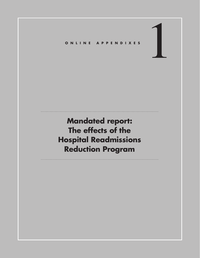# 1 **ONLINE APPENDIXES**

# **Mandated report: The effects of the Hospital Readmissions Reduction Program**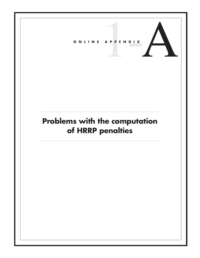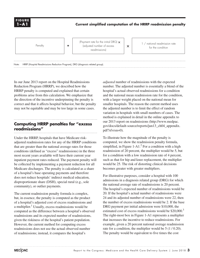

**Current simplified computation of the HRRP readmission penalty**

Penalty

(Payment rate for the initial DRG)  $\times$  $=$   $| \times |$  (adjusted number of excess  $| \times |$  for the condition readmissions)

1 / national readmission rate

Note: HRRP (Hospital Readmissions Reduction Program), DRG (diagnosis related group).

In our June 2013 report on the Hospital Readmissions Reduction Program (HRRP), we described how the HRRP penalty is computed and explained that certain problems arise from this calculation. We emphasize that the direction of the incentive underpinning the penalty is correct and that it affects hospital behavior, but the penalty may not be equitable and may be too large in some cases.

# **Computing HRRP penalties for "excess readmissions"**

Under the HRRP, hospitals that have Medicare riskadjusted readmission rates for any of the HRRP conditions that are greater than the national average rates for those conditions (defined as "excess" readmissions) in the three most recent years available will have their current year inpatient payment rates reduced. The payment penalty will be collected by implementing a payment reduction for all Medicare discharges. The penalty is calculated as a share of a hospital's base operating payments and therefore does not reduce hospitals' indirect medical education, disproportionate share (DSH), special rural (e.g., sole community), or outlier payments.

The current readmission penalty formula is complex, but, in essence, the penalty is computed as the product of a hospital's adjusted cost of excess readmissions and a multiplier.<sup>1</sup> Usually, excess readmissions would be computed as the difference between a hospital's observed readmissions and its expected number of readmissions, given the riskiness of the hospital's patient population. However, the current method for computing excess readmissions does not use the actual observed number of readmissions; instead, it compares the hospital's

*adjusted* number of readmissions with the expected number. The adjusted number is essentially a blend of the hospital's actual observed readmissions for a condition and the national mean readmission rate for the condition, with a larger weight placed on the national mean for smaller hospitals. The reason the current method uses the adjusted number is to limit the effect of random variation in hospitals with small numbers of cases. The method is explained in detail in the online appendix to our 2013 report on readmissions (http://www.medpac. gov/docs/default-source/reports/jun13\_ch04\_appendix. pdf?sfvrsn=0).

To illustrate how the magnitude of the penalty is computed, we show the readmission penalty formula, simplified, in Figure 1-A1.<sup>2</sup> For a condition with a high readmission of 20 percent, the multiplier would be 5, but for a condition with a low readmission rate of 4 percent, such as that for hip and knee replacement, the multiplier would be 25. The risk of distorting clinical decisions becomes greater with greater multipliers.

For illustrative purposes, consider a hospital with 100 admissions in a diagnosis related group (DRG) for which the national average rate of readmissions is 20 percent. The hospital's expected number of readmissions would be 20. If the hospital's actual number of readmissions were 24 and its adjusted number of readmissions were 22, then the number of excess readmissions would be 2. If the base DRG payment per initial admission were \$10,000, the estimated cost of excess readmissions would be \$20,000.<sup>3</sup> The right-most box in Figure 1-A1 represents a multiplier that increases the incentive to reduce readmissions. For example, given a 20 percent national average readmission rate for a condition, the multiplier would be  $5(1/0.20)$ . The penalty would be equivalent to five times the cost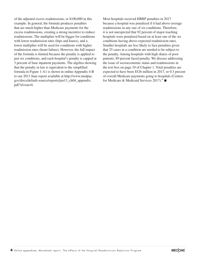of the adjusted excess readmissions, or \$100,000 in this example. In general, the formula produces penalties that are much higher than Medicare payments for the excess readmissions, creating a strong incentive to reduce readmissions. The multiplier will be bigger for conditions with lower readmission rates (hips and knees), and a lower multiplier will be used for conditions with higher readmission rates (heart failure). However, the full impact of the formula is limited because the penalty is applied to just six conditions, and each hospital's penalty is capped at 3 percent of base inpatient payments. The algebra showing that the penalty in law is equivalent to the simplified formula in Figure 1-A1 is shown in online Appendix 4-B to our 2013 June report available at http://www.medpac. gov/docs/default-source/reports/jun13\_ch04\_appendix. pdf?sfvrsn=0.

Most hospitals received HRRP penalties in 2017 because a hospital was penalized if it had above-average readmissions in any one of six conditions. Therefore, it is not unexpected that 92 percent of major teaching hospitals were penalized based on at least one of the six conditions having above-expected readmission rates. Smaller hospitals are less likely to face penalties given that 25 cases in a condition are needed to be subject to the penalty. Among hospitals with high shares of poor patients, 89 percent faced penalty. We discuss addressing the issue of socioeconomic status and readmissions in the text box on page 10 of Chapter 1. Total penalties are expected to have been \$526 million in 2017, or 0.3 percent of overall Medicare payments going to hospitals (Centers for Medicare & Medicaid Services 2017).<sup>4</sup>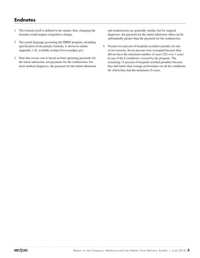# **Endnotes**

- 1 The formula itself is defined in the statute; thus, changing the formula would require a legislative change.
- 2 The actual language governing the HRRP program, including specification of the penalty formula, is shown in online Appendix 1-D, available at http://www.medpac.gov.
- 3 Note that excess cost is based on base operating payments for the initial admission, not payments for the readmission. For most medical diagnoses, the payment for the initial admission

and readmissions are generally similar, but for surgical diagnoses, the payment for the initial admission often can be substantially greater than the payment for the readmission.

4 Twenty-two percent of hospitals avoided a penalty for one of two reasons. Seven percent were exempted because they did not have the minimum number of cases (25) over 3 years in any of the 6 conditions covered by the program. The remaining 15 percent of hospitals avoided penalties because they had better than average performance on all the conditions for which they had the minimum 25 cases.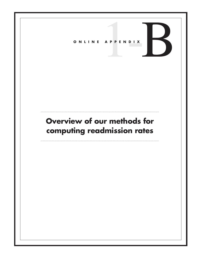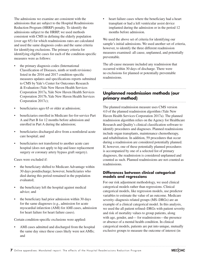Reduction Program (HRRP) penalty. To identify the admissions subject to the HRRP, we used methods consistent with CMS in defining the elderly population (over age 65) for which readmissions rates are calculated and used the same diagnosis codes and the same criteria for identifying exclusions. The primary criteria for identifying eligible cases for each of the condition-specific measures were as follows: • the primary diagnosis codes (International

The admissions we examine are consistent with the admissions that are subject to the Hospital Readmissions

- Classification of Diseases, ninth or tenth revisions) listed in the 2016 and 2017 condition-specific measures updates and specifications reports submitted to CMS by Yale's Center for Outcomes Research & Evaluation (Yale New Haven Health Services Corporation 2017a, Yale New Haven Health Services Corporation 2017b, Yale New Haven Health Services Corporation 2017c);
- beneficiaries ages 65 or older at admission;
- beneficiaries enrolled in Medicare fee-for-service Part A and Part B for 12 months before admission and enrolled in Part A during the admission;
- beneficiaries discharged alive from a nonfederal acute care hospital; and
- beneficiaries not transferred to another acute care hospital (does not apply to hip and knee replacement surgery or coronary artery bypass graft surgery).

Cases were excluded if:

- the beneficiary shifted to Medicare Advantage within 30 days postdischarge; however, beneficiaries who died during this period remained in the population evaluated;
- the beneficiary left the hospital against medical advice; and
- the beneficiary had prior admission within 30 days for the same diagnoses (e.g., admission for acute myocardial infarction (AMI) for AMI cases, admission for heart failure for heart failure cases).

Certain condition-specific exclusions were applied:

• AMI cases admitted and discharged from the hospital the same day since these cases likely were not AMIs; and

heart failure cases where the beneficiary had a heart transplant or had a left ventricular assist device implanted during the admission or in the period 12 months before admission.

We used the above set of criteria for identifying our sample's initial admissions. We used another set of criteria, however, to identify the three different readmission measures examined: all cause, unplanned, and potentially preventable.

The all-cause measure included any readmission that occurred within 30 days of discharge. There were no exclusions for planned or potentially preventable readmissions.

## **Unplanned readmission methods (our primary method)**

The planned readmission measure uses CMS version 4.0 of the planned readmission algorithm (Yale New Haven Health Services Corporation 2017a). The planned readmission algorithm relies on the Agency for Healthcare Research and Quality's clinical classification software to identify procedures and diagnoses. Planned readmissions include organ transplants, maintenance chemotherapy, and rehabilitation. In addition, 59 procedures that occur during a readmission are considered potentially planned. If, however, one of these potentially planned procedures is accompanied by one of a selected list of primary diagnoses, the readmission is considered unplanned and counted as such. Planned readmissions are not counted as readmissions.

# **Differences between clinical categorical models and regressions**

For our risk adjustment methodology, we used clinical categorical models rather than regressions. Clinical categorical models, like regression models, use predictor variables to estimate the value of an outcome. Medicare severity–diagnosis related groups (MS–DRGs) are an example of a clinical categorical model. In this analysis, we used the all patient refined–DRGs with patient severity and risk of mortality values to group patients, along with age, gender, and— for readmissions—the presence or absence of a mental health condition. In clinical categorical models, patients are put into unique, mutually exclusive groups to measure the outcome of interest (in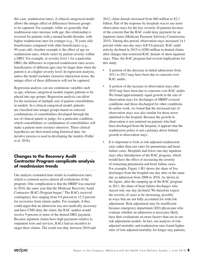this case, readmission rates). A clinical categorical model allows the unique effect of differences between groups to be captured. For example, while we generally find readmission rates increase with age, this relationship is reversed for patients with a mental health disorder, with higher readmission rates for younger (e.g., 70 years old) beneficiaries compared with older beneficiaries (e.g., 90 years old). Another example is the effect of age on readmission rates, which varies by patient severity within a DRG. For example, at severity level 1 for a particular DRG, the difference in expected readmission rates across beneficiaries of different ages may be larger than when the patient is at a higher severity level. In regression analysis, unless the model includes extensive interaction terms, the unique effect of these differences will not be captured.

Regression analysis can use continuous variables such as age, whereas categorical models require patients to be placed into age groups. Regression analysis can allow for the inclusion of multiple sets of patient comorbidities in models. In a clinical categorical model, patients are classified into unique groups based on selected combinations of comorbidities developed through the use of clinical panels to judge, for a particular condition, which comorbidities or combination of comorbidities will make a patient more resource intensive. These clinical hypotheses are then tested using historical data. An iterative process is used in developing the models (Fuller et al. 2016).

# **Changes to the Recovery Audit Contractor Program complicate analysis of readmission trends**

Our analysis examined time trends in readmission rates, which is common across almost all evaluations of the program. One complication is that the HRRP was enacted in 2010, the same year that the Medicare Recovery Audit Contractor (RAC) Program began.<sup>1</sup> The RACs received contingency fees ranging from 9.0 percent to 12.5 percent for recoveries from claims audits. For example, if they could argue that an admission was not medically necessary and have CMS deny the claim, the RAC auditor would receive 9 percent or more of the denied DRG payment. Because inpatient claims have high payments relative to outpatient tests and services, RACs had an incentive to target these claims. The result was that, between 2010 and

2012, claim denials increased from \$60 million to \$2.1 billion. Part of the response by hospitals was to use more observation stays for the less severely ill patients because of the concern that the RAC could deny payment for an inpatient claim (Medicare Payment Advisory Commission 2015). During this period, observation stays increased 14.1 percent while one-day stays fell 9.6 percent. RAC audit activity declined in 2015 to \$280 million in denied claims after changes that restricted RAC denials of short inpatient stays. Thus, the RAC program had several implications for this study:

- A portion of the decrease in initial admissions from 2011 to 2013 may have been due to concerns over RAC audits.
- A portion of the increase in observation stays after 2010 may have been due to concerns over RAC audits. We found approximately equal growth in the rate of observation stays for discharges of HRRP-covered conditions and those discharged for other conditions. In earlier work, we found that the increased rate of observation stays was also similar for those never admitted to the hospital. Because the growth in observation is not centered on patients who had been discharged from the hospital, it appears that the readmission policy is not a primary driver behind growth in observation stays.
- It is important to look at risk-adjusted readmission rates rather than raw rates for pneumonia and heart failure cases. Hospitals had fewer one-day inpatient stays after introduction of the RAC program, which would have the effect of increasing the severity of remaining pneumonia and heart failure cases. For example, Figure 1-B1 shows the share of live discharges from the hospital one day after or the same day as admission from 2008 to 2016. As shown in the figure, after the ramping up of the RAC program in 2011, the share of heart failure discharges who stayed only one day declined. We therefore expect the severity of cases to be increasing, possibly in ways that are not fully accounted for with risk adjustment. Risk adjustment may be insufficient because emergency department (ED) physicians who evaluate whether an admission is necessary likely base their evaluations on more factors than are in our risk adjustment models. In fact, our analysis of riskadjusted mortality and readmission rates found higher rates of risk-adjusted mortality for longer stay patients,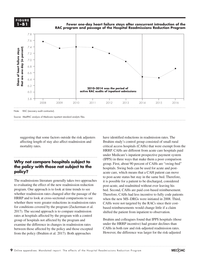

 **Fewer one-day heart failure stays after concurrent introduction of the RAC program and passage of the Hospital Readmissions Reduction Program** 



Note: RAC (recovery audit contractor).

Source: MedPAC analysis of Medicare inpatient standard analytic files.

suggesting that some factors outside the risk adjusters affecting length of stay also affect readmission and mortality rates.

### **Why not compare hospitals subject to**  the policy with those not subject to the **policy?**  $\mathbf{W}$  acute care

The readmissions literature generally takes two approaches to evaluating the effect of the new readmission reduction program. One approach is to look at time trends to see bed. Second whether readmission rates changed after the passage of the Therefore, CAHs had HRRP and to look at cross-sectional comparisons to see for conditions covered by the program (Zuckerman et al. 2017). The second approach is to compare readmission shift rates at hospitals affected by the program with a control group of hospitals not affected by the program and examine the difference in changes in readmission rates between those affected by the policy and those excepted from the policy (Ibrahim et al. 2017). Both approaches  $\begin{array}{c}\n \text{to } \text{post-} \\
\text{to } \text{post-} \\
\end{array}$ 

have identified reductions in readmission rates. The Ibrahim study's control group consisted of small rural critical access hospitals (CAHs) that were exempt from the HRRP. CAHs are different from acute care hospitals paid under Medicare's inpatient prospective payment system (IPPS) in three ways that make them a poor comparison group. First, about 90 percent of CAHs are "swing-bed" hospitals. Swing beds can be used for acute and postacute care, which means that a CAH patient can move to post-acute status but stay in the same bed. Therefore, admissions literature generally takes two approaches it is possible for a patient to be discharged, considered unting the effect of the new readmission reduction post-acute, and readmitted without ever leaving his bed. Second, CAHs are paid cost-based reimbursement. Therefore, CAHs had less incentive to fully code patients when the new MS–DRGs were initiated in 2008. Third, CAHs were not targeted by the RACs since their costbased reimbursements would change little if a claim shifted the patient from inpatient to observation. whether there were greater reductions in readmission rates case when the hew MS-DNOs were initiated in 2006. Third,<br>CAHs were not targeted by the RACs since their cost-

> Ibrahim and colleagues found that IPPS hospitals (those under the HRRP incentive) had greater declines than CAHs in both raw and risk-adjusted readmission rates. However, the difference was larger for the risk-adjusted

**Title here....**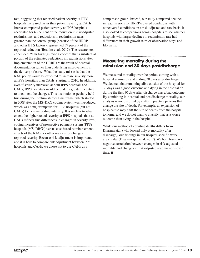rate, suggesting that reported patient severity at IPPS hospitals increased faster than patient severity at CAHs. Increased reported patient severity at IPPS hospitals accounted for 63 percent of the reduction in risk-adjusted readmissions, and reductions in readmission rates greater than the control group (because of the HRRP and other IPPS factors) represented 37 percent of the reported reduction (Ibrahim et al. 2017). The researchers concluded, "Our findings raise a concern that a substantial portion of the estimated reductions in readmissions after implementation of the HRRP are the result of hospital documentation rather than underlying improvements in the delivery of care." What the study misses is that the RAC policy would be expected to increase severity more at IPPS hospitals than CAHs, starting in 2010. In addition, even if severity increased at both IPPS hospitals and CAHs, IPPS hospitals would be under a greater incentive to document the changes. This distinction especially held true during the Ibrahim study's time frame, which started in 2008 after the MS–DRG coding system was introduced, which was a major impetus for IPPS hospitals (but not CAHs) to increase coding intensity. It is unclear to what extent the higher coded severity at IPPS hospitals than at CAHs reflects true differences in changes in severity level, coding incentives of prospective payment system (PPS) hospitals (MS–DRGs) versus cost-based reimbursement, effects of the RACs, or other reasons for changes in reported severity. Because risk adjustment is important, and it is hard to compare risk adjustment between PPS hospitals and CAHs, we chose not to use CAHs as a

comparison group. Instead, our study compared declines in readmissions for HRRP-covered conditions with noncovered conditions on a risk-adjusted and raw basis. It also looked at comparisons across hospitals to see whether hospitals with larger declines in readmission rate had differences in their growth rates of observation stays and ED visits.

# **Measuring mortality during the admission and 30 days postdischarge**

We measured mortality over the period starting with a hospital admission and ending 30 days after discharge. We deemed that remaining alive outside of the hospital for 30 days was a good outcome and dying in the hospital or during the first 30 days after discharge was a bad outcome. By combining in-hospital and postdischarge mortality, our analysis is not distorted by shifts in practice patterns that change the site of death. For example, an expansion of hospice use may shift the site of deaths from the hospital to home, and we do not want to classify that as a worse outcome than dying in the hospital.

While our method of counting deaths differs from Dharmarajan (who looked only at mortality after discharge), our findings in our hospital-specific work are similar (Dharmarajan et al. 2017). We both found no negative correlation between changes in risk-adjusted mortality and changes in risk-adjusted readmissions over time. ■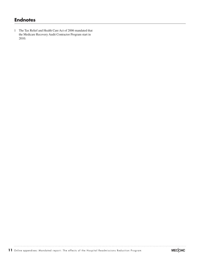# **Endnotes**

1 The Tax Relief and Health Care Act of 2006 mandated that the Medicare Recovery Audit Contractor Program start in 2010.

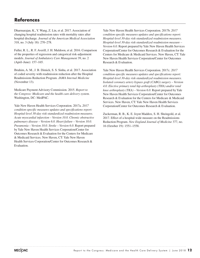# **References**

Dharmarajan, K., Y. Wang, Z. Lin, et al. 2017. Association of changing hospital readmission rates with mortality rates after hospital discharge. *Journal of the American Medical Association* 318, no. 3 (July 18): 270–278.

Fuller, R. L., R. F. Averill, J. H. Muldoon, et al. 2016. Comparison of the properties of regression and categorical risk-adjustment models. *Journal of Ambulatory Care Management* 39, no. 2 (April–June): 157–165.

Ibrahim, A. M., J. B. Dimick, S. S. Sinha, et al. 2017. Association of coded severity with readmission reduction after the Hospital Readmissions Reduction Program. *JAMA Internal Medicine*  (November 13).

Medicare Payment Advisory Commission. 2015. *Report to the Congress: Medicare and the health care delivery system.* Washington, DC: MedPAC.

Yale New Haven Health Services Corporation. 2017a. *2017 condition-specific measures updates and specifications report: Hospital-level 30-day risk-standardized readmission measures. Acute myocardial infarction – Version 10.0. Chronic obstructive pulmonary disease – Version 6.0. Heart failure – Version 10.0. Pneumonia – Version 10.0. Stroke – Version 6.0*. Report prepared by Yale New Haven Health Services Corporation/Center for Outcomes Research & Evaluation for the Centers for Medicare & Medicaid Services. New Haven, CT: Yale New Haven Health Services Corporation/Center for Outcomes Research & Evaluation.

Yale New Haven Health Services Corporation. 2017b. *2017 condition-specific measures updates and specifications report: Hospital-level 30-day risk-standardized readmission measures. Hospital-level 30-day risk-standardized readmission measure – Version 6.0.* Report prepared by Yale New Haven Health Services Corporation/Center for Outcomes Research & Evaluation for the Centers for Medicare & Medicaid Services. New Haven, CT: Yale New Haven Health Services Corporation/Center for Outcomes Research & Evaluation.

Yale New Haven Health Services Corporation. 2017c. *2017 condition-specific measures updates and specifications report: Hospital-level 30-day risk-standardized readmission measures. Isolated coronary artery bypass graft (CABG) surgery – Version 4.0. Elective primary total hip arthroplasty (THA) and/or total knee arthroplasty (TKA) – Version 6.0.* Report prepared by Yale New Haven Health Services Corporation/Center for Outcomes Research & Evaluation for the Centers for Medicare & Medicaid Services. New Haven, CT: Yale New Haven Health Services Corporation/Center for Outcomes Research & Evaluation.

Zuckerman, R. B., K. E. Joynt Maddox, S. H. Sheingold, et al. 2017. Effect of a hospital-wide measure on the Readmissions Reduction Program. *New England Journal of Medicine* 377, no. 16 (October 19): 1551–1558.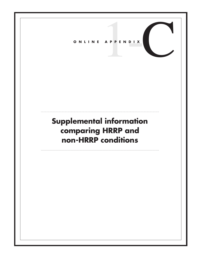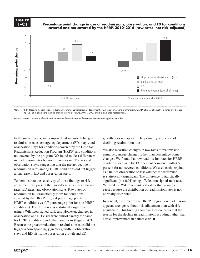# **1-X FIGURE**

**Percentage point change in use of readmissions, observation, and ED for conditions Cumulative change.... FIGURE covered and not covered by the HRRP, 2010–2016 (raw rates, not risk adjusted)**



Note: HRRP (Hospital Readmissions Reduction Program), ED (emergency department), AMI (acute myocardial infarction), COPD (chronic obstructive pulmonary disease). The five initial conditions include pneumonia, heart failure, AMI, COPD, and hip and knee replacement.

Source: MedPAC analysis of Medicare claims files for Medicare fee-for-service beneficiaries ages 65 or older.

In the main chapter, we compared risk-adjusted changes in readmission rates, emergency department (ED) stays, and observation stays for conditions covered by the Hospital Readmissions Reduction Program (HRRP) and conditions not covered by the program. We found modest differences in readmission rates but no differences in ED stays and observation stays, suggesting that the greater decline in readmission rates among HRRP conditions did not trigger an increase in ED and observation stays.

To demonstrate the sensitivity of those findings to risk adjustment, we present the raw differences in readmission rates, ED rates, and observation stays. Raw rates of readmission fell dramatically more for conditions covered by the HRRP (i.e., 2.4 percentage points for HRRP conditions vs. 0.7 percentage point for non-HRRP conditions). The difference is statistically significant using a Wilcoxon signed-rank test. However, changes in observation and ED visits were almost exactly the same for HRRP conditions and other conditions (Figure 1-C1). Because the greater reduction in readmission rates did not trigger a correspondingly greater growth in observation stays and ED visits, the observation growth and ED

growth does not appear to be primarily a function of declining readmission rates.

We also measured changes in raw rates of readmission using percentage changes rather than percentage point changes. We found that raw readmission rates for HRRP conditions declined by 13.2 percent compared with 4.5 percent for noncovered conditions. We used each hospital as a unit of observation to test whether the difference is statistically significant. The difference is statistically significant  $(p < 0.01)$  using a Wilcoxon signed-rank test. We used the Wilcoxon rank test rather than a simple t-test because the distribution of readmission rates is not normally distributed.

In general, the effect of the HRRP program on readmission appears stronger without risk adjustment than with risk adjustment. This finding should reduce concerns that the reason for the decline in readmissions is coding rather than a true improvement in patient care. ■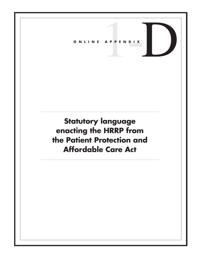# ONLINE APPENDIX

# **Statutory language enacting the HRRP from the Patient Protection and Affordable Care Act**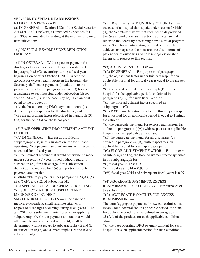# **SEC. 3025. HOSPITAL READMISSIONS REDUCTION PROGRAM.**

(a) IN GENERAL.—Section 1886 of the Social Security Act (42U.S.C. 1395ww), as amended by sections 3001 and 3008, is amended by adding at the end the following new subsection:

# ''(q) HOSPITAL READMISSIONS REDUCTION PROGRAM.—

''(1) IN GENERAL.—With respect to payment for discharges from an applicable hospital (as defined in paragraph  $(5)(C)$ ) occurring during a fiscal year beginning on or after October 1, 2012, in order to account for excess readmissions in the hospital, the Secretary shall make payments (in addition to the payments described in paragraph  $(2)(A)(ii)$  for such a discharge to such hospital under subsection (d) (or section  $1814(b)(3)$ , as the case may be) in an amount equal to the product of—

''(A) the base operating DRG payment amount (as defined in paragraph (2)) for the discharge; and ''(B) the adjustment factor (described in paragraph (3)

(A)) for the hospital for the fiscal year.

# ''(2) BASE OPERATING DRG PAYMENT AMOUNT DEFINED.—

''(A) IN GENERAL.—Except as provided in subparagraph (B), in this subsection, the term 'base operating DRG payment amount' means, with respect to a hospital for a fiscal year—

''(i) the payment amount that would otherwise be made under subsection (d) (determined without regard to subsection (o)) for a discharge if this subsection did not apply; reduced by ''(ii) any portion of such payment amount that

is attributable to payments under paragraphs  $(5)(A)$ ,  $(5)$  $(B)$ ,  $(5)(F)$ , and  $(12)$  of subsection  $(d)$ .

# ''(B) SPECIAL RULES FOR CERTAIN HOSPITALS.— ''(i) SOLE COMMUNITY HOSPITALS AND MEDICARE DEPENDENT,

SMALL RURAL HOSPITALS.—In the case of a medicare-dependent, small rural hospital (with respect to discharges occurring during fiscal years 2012 and 2013) or a sole community hospital, in applying subparagraph  $(A)(i)$ , the payment amount that would otherwise be made under subsection (d) shall be determined without regard to subparagraphs (I) and (L) of subsection  $(b)(3)$  and subparagraphs  $(D)$  and  $(G)$  of subsection  $(d)(5)$ .

''(ii) HOSPITALS PAID UNDER SECTION 1814.—In the case of a hospital that is paid under section 1814(b) (3), the Secretary may exempt such hospitals provided that States paid under such section submit an annual report to the Secretary describing how a similar program in the State for a participating hospital or hospitals achieves or surpasses the measured results in terms of patient health outcomes and cost savings established herein with respect to this section.

# ''(3) ADJUSTMENT FACTOR.—

''(A) IN GENERAL.—For purposes of paragraph (1), the adjustment factor under this paragraph for an applicable hospital for a fiscal year is equal to the greater of—

''(i) the ratio described in subparagraph (B) for the hospital for the applicable period (as defined in paragraph (5)(D)) for such fiscal year; or

''(ii) the floor adjustment factor specified in subparagraph (C).

''(B) RATIO.—The ratio described in this subparagraph for a hospital for an applicable period is equal to 1 minus the ratio of—

''(i) the aggregate payments for excess readmissions (as defined in paragraph  $(4)(A)$ ) with respect to an applicable hospital for the applicable period; and

''(ii) the aggregate payments for all discharges (as defined in paragraph  $(4)(B)$ ) with respect to such applicable hospital for such applicable period.

''(C) FLOOR ADJUSTMENT FACTOR.—For purposes of subparagraph (A), the floor adjustment factor specified in this subparagraph for—

- ''(i) fiscal year 2013 is 0.99;
- ''(ii) fiscal year 2014 is 0.98; or

''(iii) fiscal year 2015 and subsequent fiscal years is 0.97.

# ''(4) AGGREGATE PAYMENTS, EXCESS

READMISSION RATIO DEFINED.—For purposes of this subsection:

# ''(A) AGGREGATE PAYMENTS FOR EXCESS READMISSIONS.—

The term 'aggregate payments for excess readmissions' means, for a hospital for an applicable period, the sum, for applicable conditions (as defined in paragraph (5)(A)), of the product, for each applicable condition, of—

''(i) the base operating DRG payment amount for such hospital for such applicable period for such condition;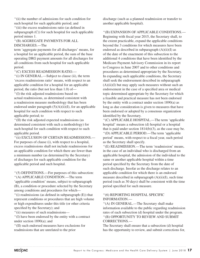''(ii) the number of admissions for such condition for such hospital for such applicable period; and ''(iii) the excess readmissions ratio (as defined in subparagraph (C)) for such hospital for such applicable period minus 1.

''(B) AGGREGATE PAYMENTS FOR ALL DISCHARGES.—The

term 'aggregate payments for all discharges' means, for a hospital for an applicable period, the sum of the base operating DRG payment amounts for all discharges for all conditions from such hospital for such applicable period.

### ''(C) EXCESS READMISSION RATIO.—

''(i) IN GENERAL.—Subject to clause (ii), the term 'excess readmissions ratio' means, with respect to an applicable condition for a hospital for an applicable period, the ratio (but not less than 1.0) of—

''(I) the risk adjusted readmissions based on actual readmissions, as determined consistent with a readmission measure methodology that has been endorsed under paragraph  $(5)(A)(ii)(I)$ , for an applicable hospital for such condition with respect to such applicable period; to

''(II) the risk adjusted expected readmissions (as determined consistent with such a methodology) for such hospital for such condition with respect to such applicable period.

''(ii) EXCLUSION OF CERTAIN READMISSIONS.— For purposes of clause (i), with respect to a hospital, excess readmissions shall not include readmissions for an applicable condition for which there are fewer than a minimum number (as determined by the Secretary) of discharges for such applicable condition for the applicable period and such hospital.

''(5) DEFINITIONS.—For purposes of this subsection: ''(A) APPLICABLE CONDITION.—The term

'applicable condition' means, subject to subparagraph (B), a condition or procedure selected by the Secretary among conditions and procedures for which—

''(i) readmissions (as defined in subparagraph (E)) that represent conditions or procedures that are high volume or high expenditures under this title (or other criteria specified by the Secretary); and

''(ii) measures of such readmissions—

''(I) have been endorsed by the entity with a contract under section 1890(a); and

''(II) such endorsed measures have exclusions for readmissions that are unrelated to the prior

discharge (such as a planned readmission or transfer to another applicable hospital).

''(B) EXPANSION OF APPLICABLE CONDITIONS.—

Beginning with fiscal year 2015, the Secretary shall, to the extent practicable, expand the applicable conditions beyond the 3 conditions for which measures have been endorsed as described in subparagraph  $(A)(ii)(I)$  as of the date of the enactment of this subsection to the additional 4 conditions that have been identified by the Medicare Payment Advisory Commission in its report to Congress in June 2007 and to other conditions and procedures as determined appropriate by the Secretary. In expanding such applicable conditions, the Secretary shall seek the endorsement described in subparagraph  $(A)(ii)(I)$  but may apply such measures without such an endorsement in the case of a specified area or medical topic determined appropriate by the Secretary for which a feasible and practical measure has not been endorsed by the entity with a contract under section 1890(a) as long as due consideration is given to measures that have been endorsed or adopted by a consensus organization identified by the Secretary.

''(C) APPLICABLE HOSPITAL.—The term 'applicable hospital' means a subsection (d) hospital or a hospital that is paid under section  $1814(b)(3)$ , as the case may be. ''(D) APPLICABLE PERIOD.—The term 'applicable period' means, with respect to a fiscal year, such period as the Secretary shall specify.

''(E) READMISSION.—The term 'readmission' means, in the case of an individual who is discharged from an applicable hospital, the admission of the individual to the same or another applicable hospital within a time period specified by the Secretary from the date of such discharge. Insofar as the discharge relates to an applicable condition for which there is an endorsed measure described in subparagraph  $(A)(ii)(I)$ , such time period (such as 30 days) shall be consistent with the time period specified for such measure.

## ''(6) REPORTING HOSPITAL SPECIFIC INFORMATION.—

''(A) IN GENERAL.—The Secretary shall make information available to the public regarding readmission rates of each subsection (d) hospital under the program. ''(B) OPPORTUNITY TO REVIEW AND SUBMIT CORRECTIONS.—

The Secretary shall ensure that a subsection (d) hospital has the opportunity to review, and submit corrections for,